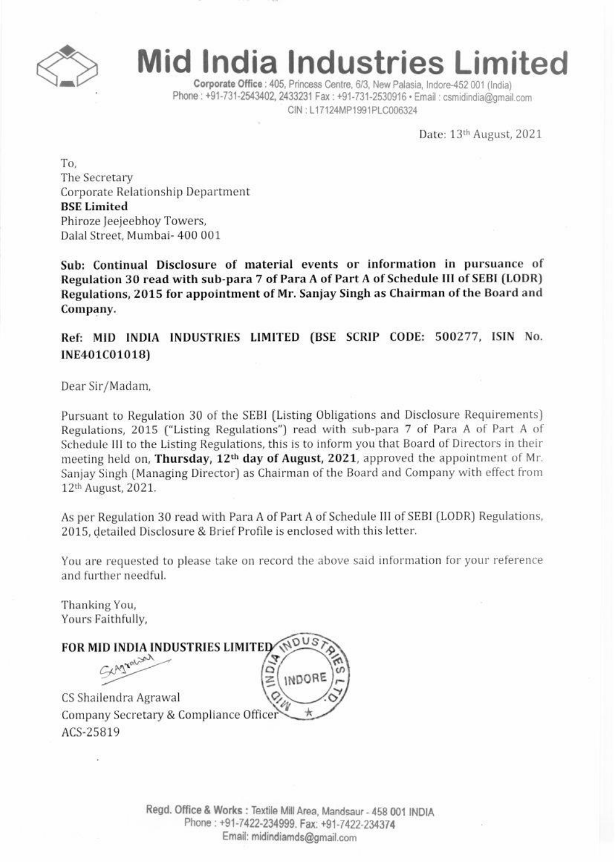

## **Mid India Industries Limited**

Corporate Office : 405, Princess Centre, 6/3, New Palasia, Indore-452 001 (India) Phone: +91-731-2543402, 2433231 Fax: +91-731-2530916 · Email: csmidindia@gmail.com CIN : L17124MPI991PLCOO6324

Date: 13th August, 2021

1~o. The Secretary Corporate Rclationshlp Department **BSE** Limited Phiroze leejeebhoy Towers, DalalStreet, Mumbai- 400 001

Sub: Continual Disclosure of material events or information in pursuance of Regulation 30 read with sub-para 7 of Para A of Part A of Schedule III of SEBI (LODR) Regulations, 2015 for appointment of Mr. Sanjay Singh as Chairman of the Board and Company.

Ref: MID INDIA INDUSTRIES LIMITED (BSE SCRIP CODE: 500277, ISIN No. INE401C01018)

Dear Sir/Madam.

Pursuant to Regulation 30 of the SEBI (Listing Obligations and Disclosure Requirements) Regulations, 2015 ("Listing Regulations") read with sub-para 7 of Para A of Part A or Schedule III to the Listing Regulations, this is to inform you that Board of Directors in their meeting held on, Thursday, 12<sup>th</sup> day of August, 2021, approved the appointment of Mr. Sanjay Singh (Managing Director) as Chairman of the Board and Company with effect from 12thAugust, 2021.

As per Regulation 30 read with Para A of Part A of Schedule III of SEBI (LODR) Regulations. 2015, detailed Disclosure & Brief Profile is enclosed with this letter

You are requested to please take on record the above said information for your reference and further needful.

Thanking You, Yours Faithfully,

**FOR MID INDIA INDUSTRIES LIMITED** General Marian  $\frac{5}{2}$ INDORE

CS Shailendra Agrawal Company Secretary & Compliance Officer ACS-25819